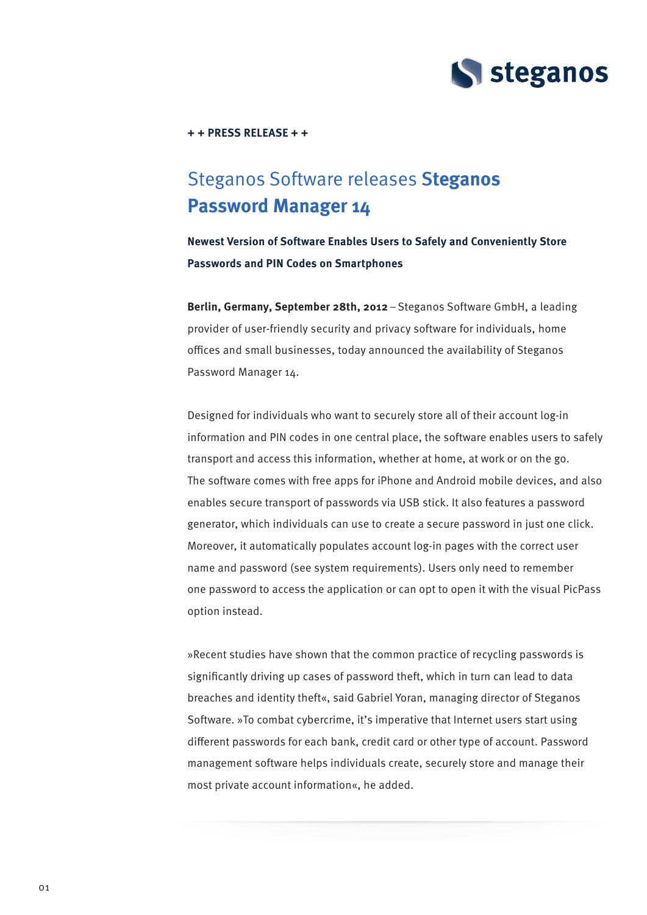

**+ + Press Release + +** 

# Steganos Software releases S**teganos Password Manager 14**

**Newest Version of Software Enables Users to Safely and Conveniently Store Passwords and PIN Codes on Smartphones**

**Berlin, Germany, September 28th, 2012** – Steganos Software GmbH, a leading provider of user-friendly security and privacy software for individuals, home offices and small businesses, today announced the availability of Steganos Password Manager 14.

Designed for individuals who want to securely store all of their account log-in information and PIN codes in one central place, the software enables users to safely transport and access this information, whether at home, at work or on the go. The software comes with free apps for iPhone and Android mobile devices, and also enables secure transport of passwords via USB stick. It also features a password generator, which individuals can use to create a secure password in just one click. Moreover, it automatically populates account log-in pages with the correct user name and password (see system requirements). Users only need to remember one password to access the application or can opt to open it with the visual PicPass option instead.

»Recent studies have shown that the common practice of recycling passwords is significantly driving up cases of password theft, which in turn can lead to data breaches and identity theft«, said Gabriel Yoran, managing director of Steganos Software. »To combat cybercrime, it's imperative that Internet users start using different passwords for each bank, credit card or other type of account. Password management software helps individuals create, securely store and manage their most private account information«, he added.